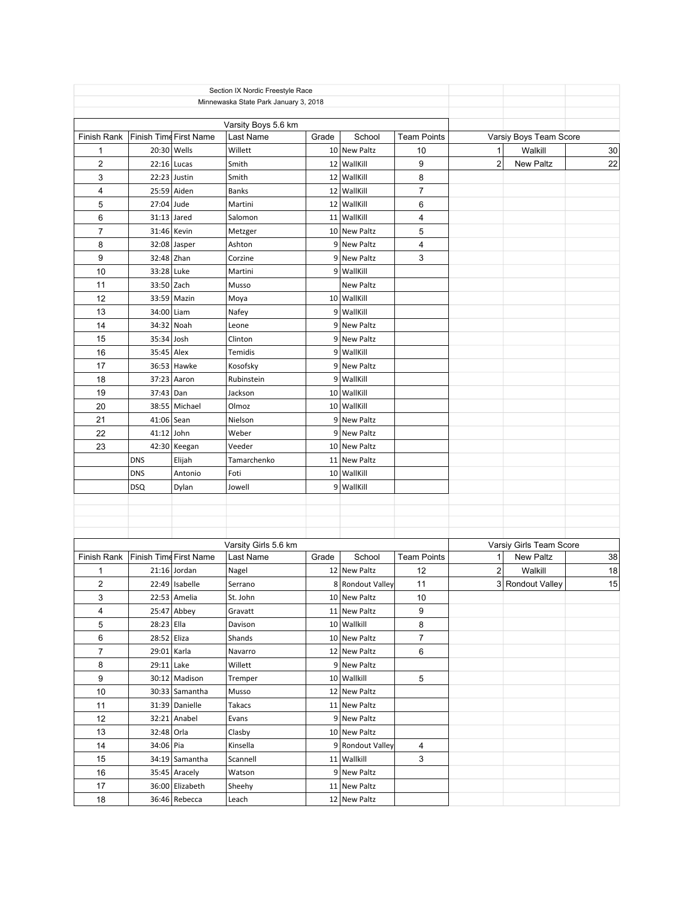| Varsity Boys 5.6 km<br>Finish Time First Name<br>Last Name<br>Grade<br>School<br><b>Team Points</b><br>Varsiy Boys Team Score<br>Finish Rank<br>20:30 Wells<br>10 New Paltz<br>30 <sup>°</sup><br>Willett<br>10<br>1<br>Walkill<br>1<br>$\overline{2}$<br>$\overline{c}$<br>22<br>9<br><b>New Paltz</b><br>$22:16$ Lucas<br>12 WallKill<br>Smith<br>3<br>22:23 Justin<br>12 WallKill<br>8<br>Smith<br>$\overline{7}$<br>$\overline{4}$<br>25:59 Aiden<br>12 WallKill<br><b>Banks</b><br>5<br>27:04 Jude<br>12 WallKill<br>6<br>Martini<br>6<br>$31:13$ Jared<br>11 WallKill<br>Salomon<br>4<br>$\overline{7}$<br>5<br>31:46 Kevin<br>10 New Paltz<br>Metzger<br>8<br>$32:08$ Jasper<br>9 New Paltz<br>4<br>Ashton<br>9<br>32:48 Zhan<br>3<br>9 New Paltz<br>Corzine<br>33:28 Luke<br>10<br>9 WallKill<br>Martini<br>33:50 Zach<br>11<br>New Paltz<br>Musso<br>12<br>33:59 Mazin<br>10 WallKill<br>Moya<br>13<br>34:00 Liam<br>9 WallKill<br>Nafey<br>14<br>34:32 Noah<br>Leone<br>9 New Paltz<br>15<br>35:34 Josh<br>Clinton<br>9 New Paltz<br>16<br>9 WallKill<br>35:45 Alex<br>Temidis<br>36:53 Hawke<br>17<br>9 New Paltz<br>Kosofsky<br>18<br>37:23 Aaron<br>9 WallKill<br>Rubinstein<br>19<br>37:43 Dan<br>10 WallKill<br>Jackson<br>20<br>38:55 Michael<br>Olmoz<br>10 WallKill<br>21<br>41:06 Sean<br>Nielson<br>9 New Paltz<br>22<br>41:12 John<br>9 New Paltz<br>Weber<br>23<br>42:30 Keegan<br>10 New Paltz<br>Veeder<br>Elijah<br>11 New Paltz<br><b>DNS</b><br>Tamarchenko<br>Antonio<br>10 WallKill<br><b>DNS</b><br>Foti<br>9 WallKill<br><b>DSQ</b><br>Dylan<br>Jowell<br>Varsiy Girls Team Score<br>Varsity Girls 5.6 km<br>Finish Time First Name<br>38<br>Finish Rank<br>School<br><b>Team Points</b><br>1<br><b>New Paltz</b><br>Last Name<br>Grade<br>$\mathbf 2$<br>12<br>18<br>1<br>$21:16$ Jordan<br>12 New Paltz<br>Walkill<br>Nagel<br>$\overline{c}$<br>22:49   Isabelle<br>8 Rondout Valley<br>11<br>3 Rondout Valley<br>15<br>Serrano<br>3<br>22:53 Amelia<br>10 New Paltz<br>St. John<br>10<br>4<br>$25:47$ Abbey<br>9<br>Gravatt<br>11 New Paltz<br>8<br>5<br>$28:23$ Ella<br>Davison<br>10 Wallkill<br>$\boldsymbol{7}$<br>6<br>28:52 Eliza<br>10 New Paltz<br>Shands<br>$\boldsymbol{7}$<br>6<br>29:01   Karla<br>12 New Paltz<br>Navarro<br>8<br>$29:11$ Lake<br>9 New Paltz<br>Willett<br>$\boldsymbol{9}$<br>30:12 Madison<br>10 Wallkill<br>5<br>Tremper<br>$10\,$<br>30:33 Samantha<br>12 New Paltz<br>Musso<br>11<br>31:39 Danielle<br>11 New Paltz<br>Takacs<br>12<br>$32:21$ Anabel<br>9 New Paltz<br>Evans<br>32:48 Orla<br>13<br>10 New Paltz<br>Clasby<br>14<br>34:06 Pia<br>9 Rondout Valley<br>Kinsella<br>4<br>34:19 Samantha<br>15<br>Scannell<br>11 Wallkill<br>3<br>35:45 Aracely<br>9 New Paltz<br>16<br>Watson<br>17<br>36:00 Elizabeth<br>11 New Paltz<br>Sheehy<br>18<br>36:46 Rebecca<br>12 New Paltz<br>Leach | Section IX Nordic Freestyle Race<br>Minnewaska State Park January 3, 2018 |  |  |  |  |  |  |  |  |  |  |
|----------------------------------------------------------------------------------------------------------------------------------------------------------------------------------------------------------------------------------------------------------------------------------------------------------------------------------------------------------------------------------------------------------------------------------------------------------------------------------------------------------------------------------------------------------------------------------------------------------------------------------------------------------------------------------------------------------------------------------------------------------------------------------------------------------------------------------------------------------------------------------------------------------------------------------------------------------------------------------------------------------------------------------------------------------------------------------------------------------------------------------------------------------------------------------------------------------------------------------------------------------------------------------------------------------------------------------------------------------------------------------------------------------------------------------------------------------------------------------------------------------------------------------------------------------------------------------------------------------------------------------------------------------------------------------------------------------------------------------------------------------------------------------------------------------------------------------------------------------------------------------------------------------------------------------------------------------------------------------------------------------------------------------------------------------------------------------------------------------------------------------------------------------------------------------------------------------------------------------------------------------------------------------------------------------------------------------------------------------------------------------------------------------------------------------------------------------------------------------------------------------------------------------------------------------------------------------------------------------------------------------------------------------------------------------------------------------------------------------------------------------------------------------------------------------------------------------------------------------------------|---------------------------------------------------------------------------|--|--|--|--|--|--|--|--|--|--|
|                                                                                                                                                                                                                                                                                                                                                                                                                                                                                                                                                                                                                                                                                                                                                                                                                                                                                                                                                                                                                                                                                                                                                                                                                                                                                                                                                                                                                                                                                                                                                                                                                                                                                                                                                                                                                                                                                                                                                                                                                                                                                                                                                                                                                                                                                                                                                                                                                                                                                                                                                                                                                                                                                                                                                                                                                                                                      |                                                                           |  |  |  |  |  |  |  |  |  |  |
|                                                                                                                                                                                                                                                                                                                                                                                                                                                                                                                                                                                                                                                                                                                                                                                                                                                                                                                                                                                                                                                                                                                                                                                                                                                                                                                                                                                                                                                                                                                                                                                                                                                                                                                                                                                                                                                                                                                                                                                                                                                                                                                                                                                                                                                                                                                                                                                                                                                                                                                                                                                                                                                                                                                                                                                                                                                                      |                                                                           |  |  |  |  |  |  |  |  |  |  |
|                                                                                                                                                                                                                                                                                                                                                                                                                                                                                                                                                                                                                                                                                                                                                                                                                                                                                                                                                                                                                                                                                                                                                                                                                                                                                                                                                                                                                                                                                                                                                                                                                                                                                                                                                                                                                                                                                                                                                                                                                                                                                                                                                                                                                                                                                                                                                                                                                                                                                                                                                                                                                                                                                                                                                                                                                                                                      |                                                                           |  |  |  |  |  |  |  |  |  |  |
|                                                                                                                                                                                                                                                                                                                                                                                                                                                                                                                                                                                                                                                                                                                                                                                                                                                                                                                                                                                                                                                                                                                                                                                                                                                                                                                                                                                                                                                                                                                                                                                                                                                                                                                                                                                                                                                                                                                                                                                                                                                                                                                                                                                                                                                                                                                                                                                                                                                                                                                                                                                                                                                                                                                                                                                                                                                                      |                                                                           |  |  |  |  |  |  |  |  |  |  |
|                                                                                                                                                                                                                                                                                                                                                                                                                                                                                                                                                                                                                                                                                                                                                                                                                                                                                                                                                                                                                                                                                                                                                                                                                                                                                                                                                                                                                                                                                                                                                                                                                                                                                                                                                                                                                                                                                                                                                                                                                                                                                                                                                                                                                                                                                                                                                                                                                                                                                                                                                                                                                                                                                                                                                                                                                                                                      |                                                                           |  |  |  |  |  |  |  |  |  |  |
|                                                                                                                                                                                                                                                                                                                                                                                                                                                                                                                                                                                                                                                                                                                                                                                                                                                                                                                                                                                                                                                                                                                                                                                                                                                                                                                                                                                                                                                                                                                                                                                                                                                                                                                                                                                                                                                                                                                                                                                                                                                                                                                                                                                                                                                                                                                                                                                                                                                                                                                                                                                                                                                                                                                                                                                                                                                                      |                                                                           |  |  |  |  |  |  |  |  |  |  |
|                                                                                                                                                                                                                                                                                                                                                                                                                                                                                                                                                                                                                                                                                                                                                                                                                                                                                                                                                                                                                                                                                                                                                                                                                                                                                                                                                                                                                                                                                                                                                                                                                                                                                                                                                                                                                                                                                                                                                                                                                                                                                                                                                                                                                                                                                                                                                                                                                                                                                                                                                                                                                                                                                                                                                                                                                                                                      |                                                                           |  |  |  |  |  |  |  |  |  |  |
|                                                                                                                                                                                                                                                                                                                                                                                                                                                                                                                                                                                                                                                                                                                                                                                                                                                                                                                                                                                                                                                                                                                                                                                                                                                                                                                                                                                                                                                                                                                                                                                                                                                                                                                                                                                                                                                                                                                                                                                                                                                                                                                                                                                                                                                                                                                                                                                                                                                                                                                                                                                                                                                                                                                                                                                                                                                                      |                                                                           |  |  |  |  |  |  |  |  |  |  |
|                                                                                                                                                                                                                                                                                                                                                                                                                                                                                                                                                                                                                                                                                                                                                                                                                                                                                                                                                                                                                                                                                                                                                                                                                                                                                                                                                                                                                                                                                                                                                                                                                                                                                                                                                                                                                                                                                                                                                                                                                                                                                                                                                                                                                                                                                                                                                                                                                                                                                                                                                                                                                                                                                                                                                                                                                                                                      |                                                                           |  |  |  |  |  |  |  |  |  |  |
|                                                                                                                                                                                                                                                                                                                                                                                                                                                                                                                                                                                                                                                                                                                                                                                                                                                                                                                                                                                                                                                                                                                                                                                                                                                                                                                                                                                                                                                                                                                                                                                                                                                                                                                                                                                                                                                                                                                                                                                                                                                                                                                                                                                                                                                                                                                                                                                                                                                                                                                                                                                                                                                                                                                                                                                                                                                                      |                                                                           |  |  |  |  |  |  |  |  |  |  |
|                                                                                                                                                                                                                                                                                                                                                                                                                                                                                                                                                                                                                                                                                                                                                                                                                                                                                                                                                                                                                                                                                                                                                                                                                                                                                                                                                                                                                                                                                                                                                                                                                                                                                                                                                                                                                                                                                                                                                                                                                                                                                                                                                                                                                                                                                                                                                                                                                                                                                                                                                                                                                                                                                                                                                                                                                                                                      |                                                                           |  |  |  |  |  |  |  |  |  |  |
|                                                                                                                                                                                                                                                                                                                                                                                                                                                                                                                                                                                                                                                                                                                                                                                                                                                                                                                                                                                                                                                                                                                                                                                                                                                                                                                                                                                                                                                                                                                                                                                                                                                                                                                                                                                                                                                                                                                                                                                                                                                                                                                                                                                                                                                                                                                                                                                                                                                                                                                                                                                                                                                                                                                                                                                                                                                                      |                                                                           |  |  |  |  |  |  |  |  |  |  |
|                                                                                                                                                                                                                                                                                                                                                                                                                                                                                                                                                                                                                                                                                                                                                                                                                                                                                                                                                                                                                                                                                                                                                                                                                                                                                                                                                                                                                                                                                                                                                                                                                                                                                                                                                                                                                                                                                                                                                                                                                                                                                                                                                                                                                                                                                                                                                                                                                                                                                                                                                                                                                                                                                                                                                                                                                                                                      |                                                                           |  |  |  |  |  |  |  |  |  |  |
|                                                                                                                                                                                                                                                                                                                                                                                                                                                                                                                                                                                                                                                                                                                                                                                                                                                                                                                                                                                                                                                                                                                                                                                                                                                                                                                                                                                                                                                                                                                                                                                                                                                                                                                                                                                                                                                                                                                                                                                                                                                                                                                                                                                                                                                                                                                                                                                                                                                                                                                                                                                                                                                                                                                                                                                                                                                                      |                                                                           |  |  |  |  |  |  |  |  |  |  |
|                                                                                                                                                                                                                                                                                                                                                                                                                                                                                                                                                                                                                                                                                                                                                                                                                                                                                                                                                                                                                                                                                                                                                                                                                                                                                                                                                                                                                                                                                                                                                                                                                                                                                                                                                                                                                                                                                                                                                                                                                                                                                                                                                                                                                                                                                                                                                                                                                                                                                                                                                                                                                                                                                                                                                                                                                                                                      |                                                                           |  |  |  |  |  |  |  |  |  |  |
|                                                                                                                                                                                                                                                                                                                                                                                                                                                                                                                                                                                                                                                                                                                                                                                                                                                                                                                                                                                                                                                                                                                                                                                                                                                                                                                                                                                                                                                                                                                                                                                                                                                                                                                                                                                                                                                                                                                                                                                                                                                                                                                                                                                                                                                                                                                                                                                                                                                                                                                                                                                                                                                                                                                                                                                                                                                                      |                                                                           |  |  |  |  |  |  |  |  |  |  |
|                                                                                                                                                                                                                                                                                                                                                                                                                                                                                                                                                                                                                                                                                                                                                                                                                                                                                                                                                                                                                                                                                                                                                                                                                                                                                                                                                                                                                                                                                                                                                                                                                                                                                                                                                                                                                                                                                                                                                                                                                                                                                                                                                                                                                                                                                                                                                                                                                                                                                                                                                                                                                                                                                                                                                                                                                                                                      |                                                                           |  |  |  |  |  |  |  |  |  |  |
|                                                                                                                                                                                                                                                                                                                                                                                                                                                                                                                                                                                                                                                                                                                                                                                                                                                                                                                                                                                                                                                                                                                                                                                                                                                                                                                                                                                                                                                                                                                                                                                                                                                                                                                                                                                                                                                                                                                                                                                                                                                                                                                                                                                                                                                                                                                                                                                                                                                                                                                                                                                                                                                                                                                                                                                                                                                                      |                                                                           |  |  |  |  |  |  |  |  |  |  |
|                                                                                                                                                                                                                                                                                                                                                                                                                                                                                                                                                                                                                                                                                                                                                                                                                                                                                                                                                                                                                                                                                                                                                                                                                                                                                                                                                                                                                                                                                                                                                                                                                                                                                                                                                                                                                                                                                                                                                                                                                                                                                                                                                                                                                                                                                                                                                                                                                                                                                                                                                                                                                                                                                                                                                                                                                                                                      |                                                                           |  |  |  |  |  |  |  |  |  |  |
|                                                                                                                                                                                                                                                                                                                                                                                                                                                                                                                                                                                                                                                                                                                                                                                                                                                                                                                                                                                                                                                                                                                                                                                                                                                                                                                                                                                                                                                                                                                                                                                                                                                                                                                                                                                                                                                                                                                                                                                                                                                                                                                                                                                                                                                                                                                                                                                                                                                                                                                                                                                                                                                                                                                                                                                                                                                                      |                                                                           |  |  |  |  |  |  |  |  |  |  |
|                                                                                                                                                                                                                                                                                                                                                                                                                                                                                                                                                                                                                                                                                                                                                                                                                                                                                                                                                                                                                                                                                                                                                                                                                                                                                                                                                                                                                                                                                                                                                                                                                                                                                                                                                                                                                                                                                                                                                                                                                                                                                                                                                                                                                                                                                                                                                                                                                                                                                                                                                                                                                                                                                                                                                                                                                                                                      |                                                                           |  |  |  |  |  |  |  |  |  |  |
|                                                                                                                                                                                                                                                                                                                                                                                                                                                                                                                                                                                                                                                                                                                                                                                                                                                                                                                                                                                                                                                                                                                                                                                                                                                                                                                                                                                                                                                                                                                                                                                                                                                                                                                                                                                                                                                                                                                                                                                                                                                                                                                                                                                                                                                                                                                                                                                                                                                                                                                                                                                                                                                                                                                                                                                                                                                                      |                                                                           |  |  |  |  |  |  |  |  |  |  |
|                                                                                                                                                                                                                                                                                                                                                                                                                                                                                                                                                                                                                                                                                                                                                                                                                                                                                                                                                                                                                                                                                                                                                                                                                                                                                                                                                                                                                                                                                                                                                                                                                                                                                                                                                                                                                                                                                                                                                                                                                                                                                                                                                                                                                                                                                                                                                                                                                                                                                                                                                                                                                                                                                                                                                                                                                                                                      |                                                                           |  |  |  |  |  |  |  |  |  |  |
|                                                                                                                                                                                                                                                                                                                                                                                                                                                                                                                                                                                                                                                                                                                                                                                                                                                                                                                                                                                                                                                                                                                                                                                                                                                                                                                                                                                                                                                                                                                                                                                                                                                                                                                                                                                                                                                                                                                                                                                                                                                                                                                                                                                                                                                                                                                                                                                                                                                                                                                                                                                                                                                                                                                                                                                                                                                                      |                                                                           |  |  |  |  |  |  |  |  |  |  |
|                                                                                                                                                                                                                                                                                                                                                                                                                                                                                                                                                                                                                                                                                                                                                                                                                                                                                                                                                                                                                                                                                                                                                                                                                                                                                                                                                                                                                                                                                                                                                                                                                                                                                                                                                                                                                                                                                                                                                                                                                                                                                                                                                                                                                                                                                                                                                                                                                                                                                                                                                                                                                                                                                                                                                                                                                                                                      |                                                                           |  |  |  |  |  |  |  |  |  |  |
|                                                                                                                                                                                                                                                                                                                                                                                                                                                                                                                                                                                                                                                                                                                                                                                                                                                                                                                                                                                                                                                                                                                                                                                                                                                                                                                                                                                                                                                                                                                                                                                                                                                                                                                                                                                                                                                                                                                                                                                                                                                                                                                                                                                                                                                                                                                                                                                                                                                                                                                                                                                                                                                                                                                                                                                                                                                                      |                                                                           |  |  |  |  |  |  |  |  |  |  |
|                                                                                                                                                                                                                                                                                                                                                                                                                                                                                                                                                                                                                                                                                                                                                                                                                                                                                                                                                                                                                                                                                                                                                                                                                                                                                                                                                                                                                                                                                                                                                                                                                                                                                                                                                                                                                                                                                                                                                                                                                                                                                                                                                                                                                                                                                                                                                                                                                                                                                                                                                                                                                                                                                                                                                                                                                                                                      |                                                                           |  |  |  |  |  |  |  |  |  |  |
|                                                                                                                                                                                                                                                                                                                                                                                                                                                                                                                                                                                                                                                                                                                                                                                                                                                                                                                                                                                                                                                                                                                                                                                                                                                                                                                                                                                                                                                                                                                                                                                                                                                                                                                                                                                                                                                                                                                                                                                                                                                                                                                                                                                                                                                                                                                                                                                                                                                                                                                                                                                                                                                                                                                                                                                                                                                                      |                                                                           |  |  |  |  |  |  |  |  |  |  |
|                                                                                                                                                                                                                                                                                                                                                                                                                                                                                                                                                                                                                                                                                                                                                                                                                                                                                                                                                                                                                                                                                                                                                                                                                                                                                                                                                                                                                                                                                                                                                                                                                                                                                                                                                                                                                                                                                                                                                                                                                                                                                                                                                                                                                                                                                                                                                                                                                                                                                                                                                                                                                                                                                                                                                                                                                                                                      |                                                                           |  |  |  |  |  |  |  |  |  |  |
|                                                                                                                                                                                                                                                                                                                                                                                                                                                                                                                                                                                                                                                                                                                                                                                                                                                                                                                                                                                                                                                                                                                                                                                                                                                                                                                                                                                                                                                                                                                                                                                                                                                                                                                                                                                                                                                                                                                                                                                                                                                                                                                                                                                                                                                                                                                                                                                                                                                                                                                                                                                                                                                                                                                                                                                                                                                                      |                                                                           |  |  |  |  |  |  |  |  |  |  |
|                                                                                                                                                                                                                                                                                                                                                                                                                                                                                                                                                                                                                                                                                                                                                                                                                                                                                                                                                                                                                                                                                                                                                                                                                                                                                                                                                                                                                                                                                                                                                                                                                                                                                                                                                                                                                                                                                                                                                                                                                                                                                                                                                                                                                                                                                                                                                                                                                                                                                                                                                                                                                                                                                                                                                                                                                                                                      |                                                                           |  |  |  |  |  |  |  |  |  |  |
|                                                                                                                                                                                                                                                                                                                                                                                                                                                                                                                                                                                                                                                                                                                                                                                                                                                                                                                                                                                                                                                                                                                                                                                                                                                                                                                                                                                                                                                                                                                                                                                                                                                                                                                                                                                                                                                                                                                                                                                                                                                                                                                                                                                                                                                                                                                                                                                                                                                                                                                                                                                                                                                                                                                                                                                                                                                                      |                                                                           |  |  |  |  |  |  |  |  |  |  |
|                                                                                                                                                                                                                                                                                                                                                                                                                                                                                                                                                                                                                                                                                                                                                                                                                                                                                                                                                                                                                                                                                                                                                                                                                                                                                                                                                                                                                                                                                                                                                                                                                                                                                                                                                                                                                                                                                                                                                                                                                                                                                                                                                                                                                                                                                                                                                                                                                                                                                                                                                                                                                                                                                                                                                                                                                                                                      |                                                                           |  |  |  |  |  |  |  |  |  |  |
|                                                                                                                                                                                                                                                                                                                                                                                                                                                                                                                                                                                                                                                                                                                                                                                                                                                                                                                                                                                                                                                                                                                                                                                                                                                                                                                                                                                                                                                                                                                                                                                                                                                                                                                                                                                                                                                                                                                                                                                                                                                                                                                                                                                                                                                                                                                                                                                                                                                                                                                                                                                                                                                                                                                                                                                                                                                                      |                                                                           |  |  |  |  |  |  |  |  |  |  |
|                                                                                                                                                                                                                                                                                                                                                                                                                                                                                                                                                                                                                                                                                                                                                                                                                                                                                                                                                                                                                                                                                                                                                                                                                                                                                                                                                                                                                                                                                                                                                                                                                                                                                                                                                                                                                                                                                                                                                                                                                                                                                                                                                                                                                                                                                                                                                                                                                                                                                                                                                                                                                                                                                                                                                                                                                                                                      |                                                                           |  |  |  |  |  |  |  |  |  |  |
|                                                                                                                                                                                                                                                                                                                                                                                                                                                                                                                                                                                                                                                                                                                                                                                                                                                                                                                                                                                                                                                                                                                                                                                                                                                                                                                                                                                                                                                                                                                                                                                                                                                                                                                                                                                                                                                                                                                                                                                                                                                                                                                                                                                                                                                                                                                                                                                                                                                                                                                                                                                                                                                                                                                                                                                                                                                                      |                                                                           |  |  |  |  |  |  |  |  |  |  |
|                                                                                                                                                                                                                                                                                                                                                                                                                                                                                                                                                                                                                                                                                                                                                                                                                                                                                                                                                                                                                                                                                                                                                                                                                                                                                                                                                                                                                                                                                                                                                                                                                                                                                                                                                                                                                                                                                                                                                                                                                                                                                                                                                                                                                                                                                                                                                                                                                                                                                                                                                                                                                                                                                                                                                                                                                                                                      |                                                                           |  |  |  |  |  |  |  |  |  |  |
|                                                                                                                                                                                                                                                                                                                                                                                                                                                                                                                                                                                                                                                                                                                                                                                                                                                                                                                                                                                                                                                                                                                                                                                                                                                                                                                                                                                                                                                                                                                                                                                                                                                                                                                                                                                                                                                                                                                                                                                                                                                                                                                                                                                                                                                                                                                                                                                                                                                                                                                                                                                                                                                                                                                                                                                                                                                                      |                                                                           |  |  |  |  |  |  |  |  |  |  |
|                                                                                                                                                                                                                                                                                                                                                                                                                                                                                                                                                                                                                                                                                                                                                                                                                                                                                                                                                                                                                                                                                                                                                                                                                                                                                                                                                                                                                                                                                                                                                                                                                                                                                                                                                                                                                                                                                                                                                                                                                                                                                                                                                                                                                                                                                                                                                                                                                                                                                                                                                                                                                                                                                                                                                                                                                                                                      |                                                                           |  |  |  |  |  |  |  |  |  |  |
|                                                                                                                                                                                                                                                                                                                                                                                                                                                                                                                                                                                                                                                                                                                                                                                                                                                                                                                                                                                                                                                                                                                                                                                                                                                                                                                                                                                                                                                                                                                                                                                                                                                                                                                                                                                                                                                                                                                                                                                                                                                                                                                                                                                                                                                                                                                                                                                                                                                                                                                                                                                                                                                                                                                                                                                                                                                                      |                                                                           |  |  |  |  |  |  |  |  |  |  |
|                                                                                                                                                                                                                                                                                                                                                                                                                                                                                                                                                                                                                                                                                                                                                                                                                                                                                                                                                                                                                                                                                                                                                                                                                                                                                                                                                                                                                                                                                                                                                                                                                                                                                                                                                                                                                                                                                                                                                                                                                                                                                                                                                                                                                                                                                                                                                                                                                                                                                                                                                                                                                                                                                                                                                                                                                                                                      |                                                                           |  |  |  |  |  |  |  |  |  |  |
|                                                                                                                                                                                                                                                                                                                                                                                                                                                                                                                                                                                                                                                                                                                                                                                                                                                                                                                                                                                                                                                                                                                                                                                                                                                                                                                                                                                                                                                                                                                                                                                                                                                                                                                                                                                                                                                                                                                                                                                                                                                                                                                                                                                                                                                                                                                                                                                                                                                                                                                                                                                                                                                                                                                                                                                                                                                                      |                                                                           |  |  |  |  |  |  |  |  |  |  |
|                                                                                                                                                                                                                                                                                                                                                                                                                                                                                                                                                                                                                                                                                                                                                                                                                                                                                                                                                                                                                                                                                                                                                                                                                                                                                                                                                                                                                                                                                                                                                                                                                                                                                                                                                                                                                                                                                                                                                                                                                                                                                                                                                                                                                                                                                                                                                                                                                                                                                                                                                                                                                                                                                                                                                                                                                                                                      |                                                                           |  |  |  |  |  |  |  |  |  |  |
|                                                                                                                                                                                                                                                                                                                                                                                                                                                                                                                                                                                                                                                                                                                                                                                                                                                                                                                                                                                                                                                                                                                                                                                                                                                                                                                                                                                                                                                                                                                                                                                                                                                                                                                                                                                                                                                                                                                                                                                                                                                                                                                                                                                                                                                                                                                                                                                                                                                                                                                                                                                                                                                                                                                                                                                                                                                                      |                                                                           |  |  |  |  |  |  |  |  |  |  |
|                                                                                                                                                                                                                                                                                                                                                                                                                                                                                                                                                                                                                                                                                                                                                                                                                                                                                                                                                                                                                                                                                                                                                                                                                                                                                                                                                                                                                                                                                                                                                                                                                                                                                                                                                                                                                                                                                                                                                                                                                                                                                                                                                                                                                                                                                                                                                                                                                                                                                                                                                                                                                                                                                                                                                                                                                                                                      |                                                                           |  |  |  |  |  |  |  |  |  |  |
|                                                                                                                                                                                                                                                                                                                                                                                                                                                                                                                                                                                                                                                                                                                                                                                                                                                                                                                                                                                                                                                                                                                                                                                                                                                                                                                                                                                                                                                                                                                                                                                                                                                                                                                                                                                                                                                                                                                                                                                                                                                                                                                                                                                                                                                                                                                                                                                                                                                                                                                                                                                                                                                                                                                                                                                                                                                                      |                                                                           |  |  |  |  |  |  |  |  |  |  |
|                                                                                                                                                                                                                                                                                                                                                                                                                                                                                                                                                                                                                                                                                                                                                                                                                                                                                                                                                                                                                                                                                                                                                                                                                                                                                                                                                                                                                                                                                                                                                                                                                                                                                                                                                                                                                                                                                                                                                                                                                                                                                                                                                                                                                                                                                                                                                                                                                                                                                                                                                                                                                                                                                                                                                                                                                                                                      |                                                                           |  |  |  |  |  |  |  |  |  |  |
|                                                                                                                                                                                                                                                                                                                                                                                                                                                                                                                                                                                                                                                                                                                                                                                                                                                                                                                                                                                                                                                                                                                                                                                                                                                                                                                                                                                                                                                                                                                                                                                                                                                                                                                                                                                                                                                                                                                                                                                                                                                                                                                                                                                                                                                                                                                                                                                                                                                                                                                                                                                                                                                                                                                                                                                                                                                                      |                                                                           |  |  |  |  |  |  |  |  |  |  |
|                                                                                                                                                                                                                                                                                                                                                                                                                                                                                                                                                                                                                                                                                                                                                                                                                                                                                                                                                                                                                                                                                                                                                                                                                                                                                                                                                                                                                                                                                                                                                                                                                                                                                                                                                                                                                                                                                                                                                                                                                                                                                                                                                                                                                                                                                                                                                                                                                                                                                                                                                                                                                                                                                                                                                                                                                                                                      |                                                                           |  |  |  |  |  |  |  |  |  |  |
|                                                                                                                                                                                                                                                                                                                                                                                                                                                                                                                                                                                                                                                                                                                                                                                                                                                                                                                                                                                                                                                                                                                                                                                                                                                                                                                                                                                                                                                                                                                                                                                                                                                                                                                                                                                                                                                                                                                                                                                                                                                                                                                                                                                                                                                                                                                                                                                                                                                                                                                                                                                                                                                                                                                                                                                                                                                                      |                                                                           |  |  |  |  |  |  |  |  |  |  |
|                                                                                                                                                                                                                                                                                                                                                                                                                                                                                                                                                                                                                                                                                                                                                                                                                                                                                                                                                                                                                                                                                                                                                                                                                                                                                                                                                                                                                                                                                                                                                                                                                                                                                                                                                                                                                                                                                                                                                                                                                                                                                                                                                                                                                                                                                                                                                                                                                                                                                                                                                                                                                                                                                                                                                                                                                                                                      |                                                                           |  |  |  |  |  |  |  |  |  |  |
|                                                                                                                                                                                                                                                                                                                                                                                                                                                                                                                                                                                                                                                                                                                                                                                                                                                                                                                                                                                                                                                                                                                                                                                                                                                                                                                                                                                                                                                                                                                                                                                                                                                                                                                                                                                                                                                                                                                                                                                                                                                                                                                                                                                                                                                                                                                                                                                                                                                                                                                                                                                                                                                                                                                                                                                                                                                                      |                                                                           |  |  |  |  |  |  |  |  |  |  |